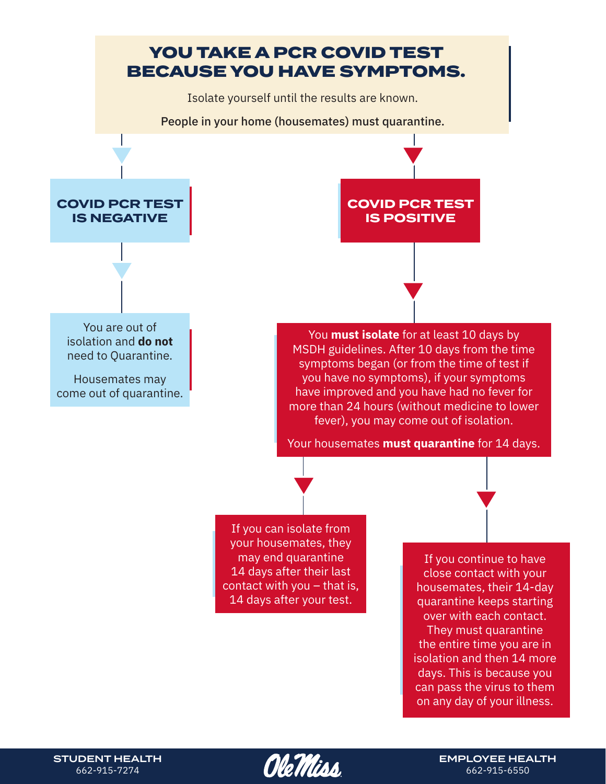

STUDENT HEALTH 662-915-7274

*Ole Titiss* 

EMPLOYEE HEALTH 662-915-6550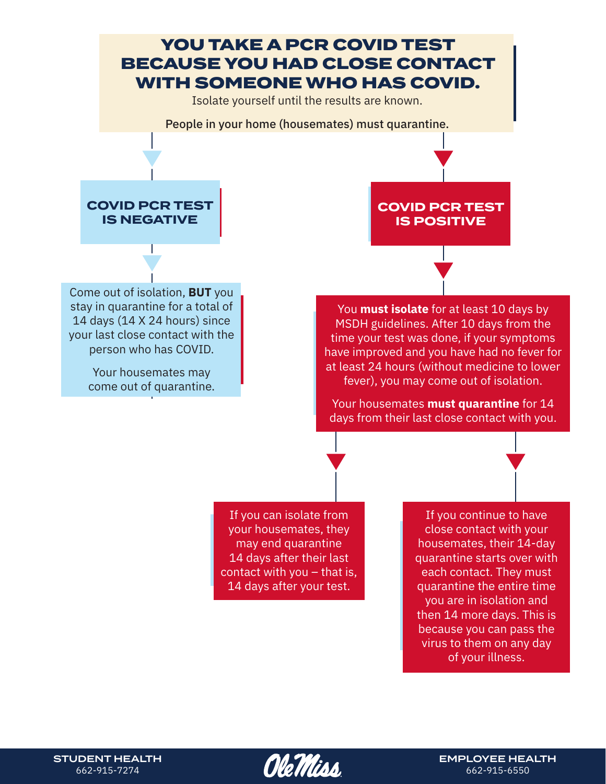

STUDENT HEALTH 662-915-7274

*Ole Titiss* 

EMPLOYEE HEALTH 662-915-6550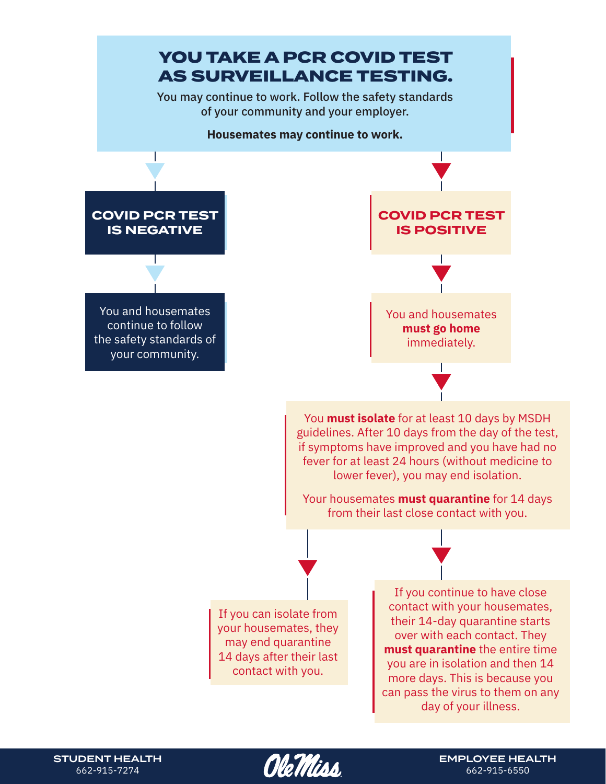

STUDENT HEALTH 662-915-7274

*Ole Vitiss* 

EMPLOYEE HEALTH 662-915-6550